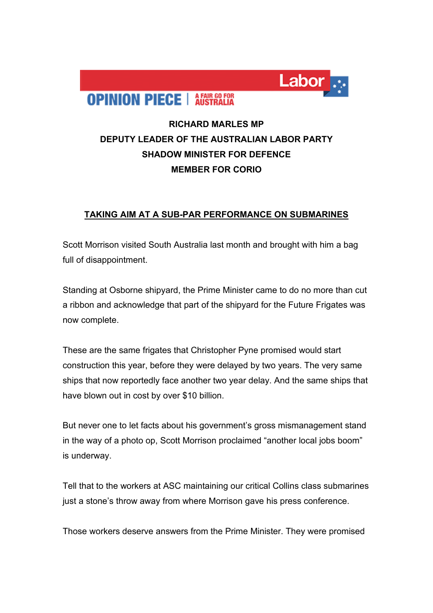

## **RICHARD MARLES MP DEPUTY LEADER OF THE AUSTRALIAN LABOR PARTY SHADOW MINISTER FOR DEFENCE MEMBER FOR CORIO**

Labor

## **TAKING AIM AT A SUB-PAR PERFORMANCE ON SUBMARINES**

Scott Morrison visited South Australia last month and brought with him a bag full of disappointment.

Standing at Osborne shipyard, the Prime Minister came to do no more than cut a ribbon and acknowledge that part of the shipyard for the Future Frigates was now complete.

These are the same frigates that Christopher Pyne promised would start construction this year, before they were delayed by two years. The very same ships that now reportedly face another two year delay. And the same ships that have blown out in cost by over \$10 billion.

But never one to let facts about his government's gross mismanagement stand in the way of a photo op, Scott Morrison proclaimed "another local jobs boom" is underway.

Tell that to the workers at ASC maintaining our critical Collins class submarines just a stone's throw away from where Morrison gave his press conference.

Those workers deserve answers from the Prime Minister. They were promised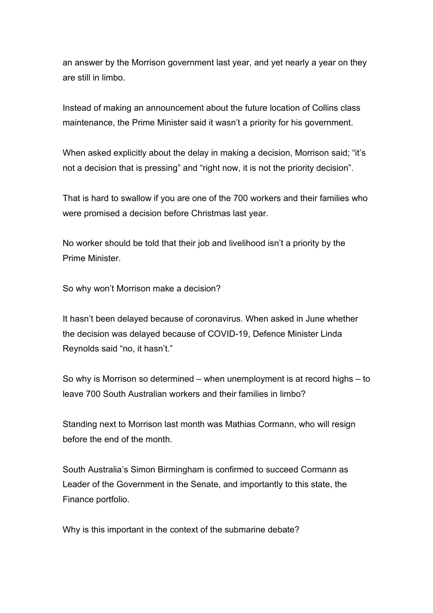an answer by the Morrison government last year, and yet nearly a year on they are still in limbo.

Instead of making an announcement about the future location of Collins class maintenance, the Prime Minister said it wasn't a priority for his government.

When asked explicitly about the delay in making a decision, Morrison said; "it's not a decision that is pressing" and "right now, it is not the priority decision".

That is hard to swallow if you are one of the 700 workers and their families who were promised a decision before Christmas last year.

No worker should be told that their job and livelihood isn't a priority by the Prime Minister.

So why won't Morrison make a decision?

It hasn't been delayed because of coronavirus. When asked in June whether the decision was delayed because of COVID-19, Defence Minister Linda Reynolds said "no, it hasn't."

So why is Morrison so determined – when unemployment is at record highs – to leave 700 South Australian workers and their families in limbo?

Standing next to Morrison last month was Mathias Cormann, who will resign before the end of the month.

South Australia's Simon Birmingham is confirmed to succeed Cormann as Leader of the Government in the Senate, and importantly to this state, the Finance portfolio.

Why is this important in the context of the submarine debate?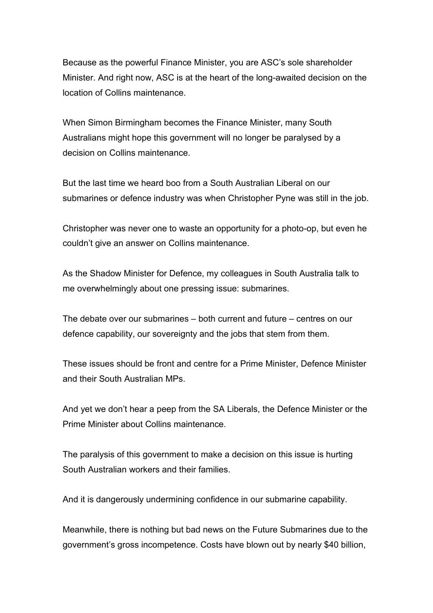Because as the powerful Finance Minister, you are ASC's sole shareholder Minister. And right now, ASC is at the heart of the long-awaited decision on the location of Collins maintenance.

When Simon Birmingham becomes the Finance Minister, many South Australians might hope this government will no longer be paralysed by a decision on Collins maintenance.

But the last time we heard boo from a South Australian Liberal on our submarines or defence industry was when Christopher Pyne was still in the job.

Christopher was never one to waste an opportunity for a photo-op, but even he couldn't give an answer on Collins maintenance.

As the Shadow Minister for Defence, my colleagues in South Australia talk to me overwhelmingly about one pressing issue: submarines.

The debate over our submarines – both current and future – centres on our defence capability, our sovereignty and the jobs that stem from them.

These issues should be front and centre for a Prime Minister, Defence Minister and their South Australian MPs.

And yet we don't hear a peep from the SA Liberals, the Defence Minister or the Prime Minister about Collins maintenance.

The paralysis of this government to make a decision on this issue is hurting South Australian workers and their families.

And it is dangerously undermining confidence in our submarine capability.

Meanwhile, there is nothing but bad news on the Future Submarines due to the government's gross incompetence. Costs have blown out by nearly \$40 billion,